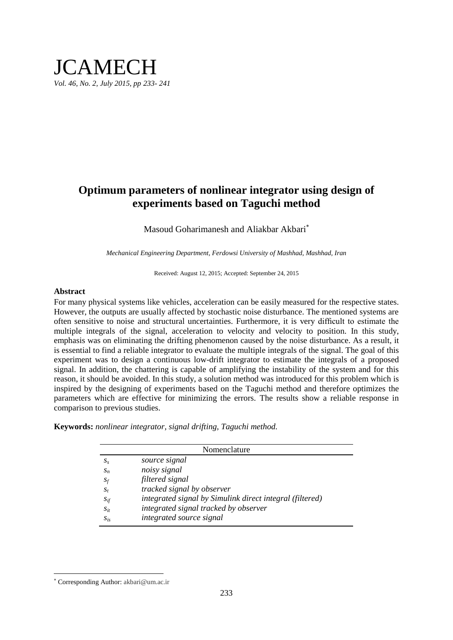## **JCAMECH** *Vol. 46, No. 2, July 2015, pp 233- 241*

### **Optimum parameters of nonlinear integrator using design of experiments based on Taguchi method**

Masoud Goharimanesh and Aliakbar Akbari

*Mechanical Engineering Department, Ferdowsi University of Mashhad, Mashhad, Iran*

Received: August 12, 2015; Accepted: September 24, 2015

### **Abstract**

For many physical systems like vehicles, acceleration can be easily measured for the respective states. However, the outputs are usually affected by stochastic noise disturbance. The mentioned systems are often sensitive to noise and structural uncertainties. Furthermore, it is very difficult to estimate the multiple integrals of the signal, acceleration to velocity and velocity to position. In this study, emphasis was on eliminating the drifting phenomenon caused by the noise disturbance. As a result, it is essential to find a reliable integrator to evaluate the multiple integrals of the signal. The goal of this experiment was to design a continuous low-drift integrator to estimate the integrals of a proposed signal. In addition, the chattering is capable of amplifying the instability of the system and for this reason, it should be avoided. In this study, a solution method was introduced for this problem which is inspired by the designing of experiments based on the Taguchi method and therefore optimizes the parameters which are effective for minimizing the errors. The results show a reliable response in comparison to previous studies.

**Keywords:** *nonlinear integrator, signal drifting, Taguchi method.*

|          | Nomenclature                                             |
|----------|----------------------------------------------------------|
| $S_{S}$  | source signal                                            |
| $S_n$    | noisy signal                                             |
| $S_f$    | filtered signal                                          |
| $S_t$    | <i>tracked signal by observer</i>                        |
| $S_{if}$ | integrated signal by Simulink direct integral (filtered) |
| $S_{it}$ | integrated signal tracked by observer                    |
| $S_{is}$ | integrated source signal                                 |

 $\overline{\phantom{a}}$ 

Corresponding Author: akbari@um.ac.ir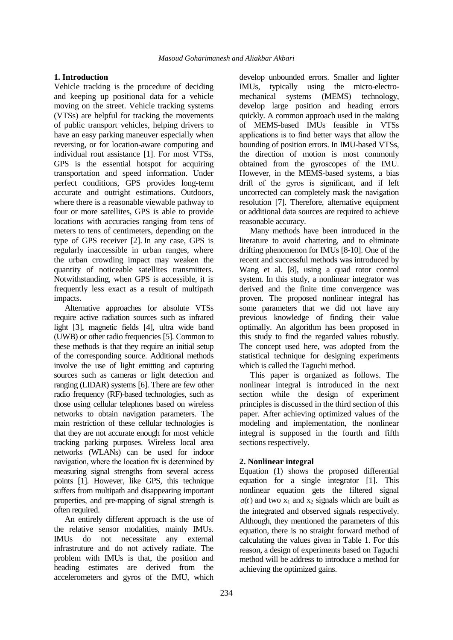### **1. Introduction**

Vehicle tracking is the procedure of deciding and keeping up positional data for a vehicle moving on the street. Vehicle tracking systems (VTSs) are helpful for tracking the movements of public transport vehicles, helping drivers to have an easy parking maneuver especially when reversing, or for location-aware computing and individual rout assistance [\[1\]](#page-7-0). For most VTSs, GPS is the essential hotspot for acquiring transportation and speed information. Under perfect conditions, GPS provides long**-**term accurate and outright estimations. Outdoors, where there is a reasonable viewable pathway to four or more satellites, GPS is able to provide locations with accuracies ranging from tens of meters to tens of centimeters, depending on the type of GPS receiver [\[2\]](#page-7-0). In any case, GPS is regularly inaccessible in urban ranges, where the urban crowding impact may weaken the quantity of noticeable satellites transmitters. Notwithstanding, when GPS is accessible, it is frequently less exact as a result of multipath impacts.

Alternative approaches for absolute VTSs require active radiation sources such as infrared light [\[3\]](#page-7-1), magnetic fields [\[4\]](#page-7-2), ultra wide band )UWB) or other radio frequencies [\[5\]](#page-7-3). Common to these methods is that they require an initial setup of the corresponding source. Additional methods involve the use of light emitting and capturing sources such as cameras or light detection and ranging (LIDAR) systems [\[6\]](#page-7-4). There are few other radio frequency (RF)-based technologies, such as those using cellular telephones based on wireless networks to obtain navigation parameters. The main restriction of these cellular technologies is that they are not accurate enough for most vehicle tracking parking purposes. Wireless local area networks (WLANs) can be used for indoor navigation, where the location fix is determined by measuring signal strengths from several access points [\[1\]](#page-7-0). However, like GPS, this technique suffers from multipath and disappearing important properties, and pre-mapping of signal strength is often required.

An entirely different approach is the use of the relative sensor modalities, mainly IMUs. IMUs do not necessitate any external infrastruture and do not actively radiate. The problem with IMUs is that, the position and heading estimates are derived from the accelerometers and gyros of the IMU, which

develop unbounded errors. Smaller and lighter IMUs, typically using the micro-electromechanical systems (MEMS) technology, develop large position and heading errors quickly. A common approach used in the making of MEMS-based IMUs feasible in VTSs applications is to find better ways that allow the bounding of position errors. In IMU-based VTSs, the direction of motion is most commonly obtained from the gyroscopes of the IMU. However, in the MEMS-based systems, a bias drift of the gyros is significant, and if left uncorrected can completely mask the navigation resolution [\[7\]](#page-7-5). Therefore, alternative equipment or additional data sources are required to achieve reasonable accuracy.

Many methods have been introduced in the literature to avoid chattering, and to eliminate drifting phenomenon for IMUs [\[8-10\]](#page-8-0). One of the recent and successful methods was introduced by Wang et al. [\[8\]](#page-8-0), using a quad rotor control system. In this study, a nonlinear integrator was derived and the finite time convergence was proven. The proposed nonlinear integral has some parameters that we did not have any previous knowledge of finding their value optimally. An algorithm has been proposed in this study to find the regarded values robustly. The concept used here, was adopted from the statistical technique for designing experiments which is called the Taguchi method.

This paper is organized as follows. The nonlinear integral is introduced in the next section while the design of experiment principles is discussed in the third section of this paper. After achieving optimized values of the modeling and implementation, the nonlinear integral is supposed in the fourth and fifth sections respectively.

### **2. Nonlinear integral**

Equation (1) shows the proposed differential equation for a single integrator [1]. This nonlinear equation gets the filtered signal  $a(t)$  and two  $x_1$  and  $x_2$  signals which are built as the integrated and observed signals respectively. Although, they mentioned the parameters of this equation, there is no straight forward method of calculating the values given in [Table 1.](#page-2-0) For this reason, a design of experiments based on Taguchi method will be address to introduce a method for achieving the optimized gains.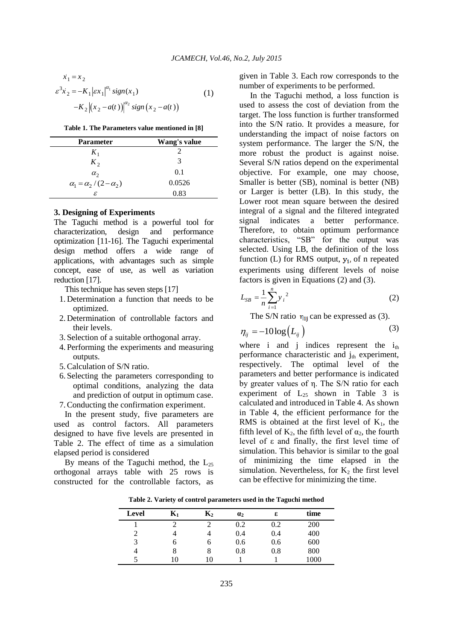$$
\dot{x}_1 = x_2
$$
  
\n
$$
\varepsilon^3 \dot{x}_2 = -K_1 |\varepsilon x_1|^{\alpha_1} sign(x_1)
$$
  
\n
$$
-K_2 |(x_2 - a(t))|^{\alpha_2} sign(x_2 - a(t))
$$
\n(1)

<span id="page-2-0"></span>

|  |  |  |  |  | Table 1. The Parameters value mentioned in [8] |  |  |  |  |  |
|--|--|--|--|--|------------------------------------------------|--|--|--|--|--|
|--|--|--|--|--|------------------------------------------------|--|--|--|--|--|

| <b>Parameter</b>                   | Wang's value |
|------------------------------------|--------------|
| $K_1$                              | 2            |
| $K_2$                              | 3            |
| $\alpha_{2}$                       | 0.1          |
| $\alpha_1 = \alpha_2/(2-\alpha_2)$ | 0.0526       |
| ε                                  | 0.83         |

### **3. Designing of Experiments**

The Taguchi method is a powerful tool for characterization, design and performance optimization [11-16]. The Taguchi experimental design method offers a wide range of applications, with advantages such as simple concept, ease of use, as well as variation reduction [17].

This technique has seven steps [17]

- 1. Determination a function that needs to be optimized.
- 2. Determination of controllable factors and their levels.
- 3. Selection of a suitable orthogonal array.
- 4. Performing the experiments and measuring outputs.
- 5.Calculation of S/N ratio.
- 6. Selecting the parameters corresponding to optimal conditions, analyzing the data and prediction of output in optimum case.
- 7.Conducting the confirmation experiment.

In the present study, five parameters are used as control factors. All parameters designed to have five levels are presented in [Table 2.](#page-2-1) The effect of time as a simulation elapsed period is considered

<span id="page-2-1"></span>By means of the Taguchi method, the  $L_{25}$ orthogonal arrays table with 25 rows is constructed for the controllable factors, as given in [Table 3.](#page-3-0) Each row corresponds to the number of experiments to be performed.

In the Taguchi method, a loss function is used to assess the cost of deviation from the target. The loss function is further transformed into the S/N ratio. It provides a measure, for understanding the impact of noise factors on system performance. The larger the S/N, the more robust the product is against noise. Several S/N ratios depend on the experimental objective. For example, one may choose, Smaller is better (SB), nominal is better (NB) or Larger is better (LB). In this study, the Lower root mean square between the desired integral of a signal and the filtered integrated signal indicates a better performance. Therefore, to obtain optimum performance characteristics, "SB" for the output was selected. Using LB, the definition of the loss function (L) for RMS output,  $y_i$ , of n repeated experiments using different levels of noise factors is given in Equations (2) and (3).

$$
L_{SB} = \frac{1}{n} \sum_{i=1}^{n} y_i^2
$$
 (2)

The S/N ratio  $\eta_{ii}$  can be expressed as (3).

$$
\eta_{ij} = -10\log(L_{ij})\tag{3}
$$

where i and j indices represent the  $i_{th}$ performance characteristic and  $j_{th}$  experiment, respectively. The optimal level of the parameters and better performance is indicated by greater values of η. The S/N ratio for each experiment of  $L_{25}$  shown in [Table 3](#page-3-0) is calculated and introduced in Table 4. As shown in Table 4, the efficient performance for the RMS is obtained at the first level of  $K_1$ , the fifth level of  $K_2$ , the fifth level of  $\alpha_2$ , the fourth level of ε and finally, the first level time of simulation. This behavior is similar to the goal of minimizing the time elapsed in the simulation. Nevertheless, for  $K<sub>2</sub>$  the first level can be effective for minimizing the time.

**Table 2. Variety of control parameters used in the Taguchi method**

| <b>Level</b>   | $K_1$ | $\mathbf{K}_2$ | $\mathbf{a}_2$ | ε   | time |
|----------------|-------|----------------|----------------|-----|------|
|                |       |                | 0.2            | 0.2 | 200  |
| 2              |       |                | 0.4            | 0.4 | 400  |
| 3              | O     | 0              | 0.6            | 0.6 | 600  |
| $\overline{4}$ | 8     | 8              | 0.8            | 0.8 | 800  |
|                | 10    | 10             |                |     | 1000 |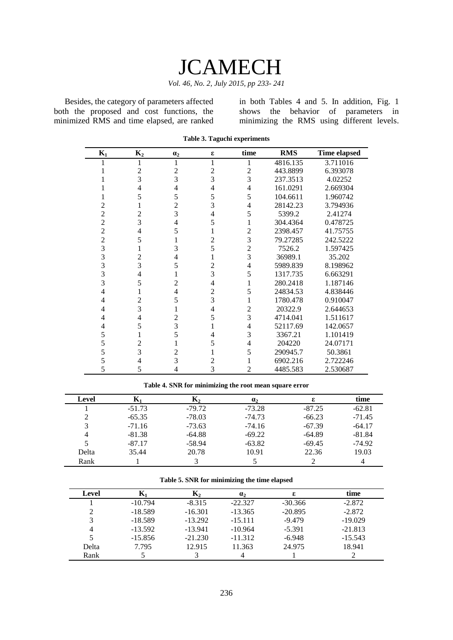# **JCAMECH**

*Vol. 46, No. 2, July 2015, pp 233- 241*

<span id="page-3-0"></span>Besides, the category of parameters affected both the proposed and cost functions, the minimized RMS and time elapsed, are ranked in both Tables 4 and 5. In addition, [Fig.](#page-4-0) 1 shows the behavior of parameters in minimizing the RMS using different levels.

| $K_1$          | $K_2$          | $\alpha_2$     | ε              | time           | <b>RMS</b> | <b>Time elapsed</b> |
|----------------|----------------|----------------|----------------|----------------|------------|---------------------|
|                |                | 1              | 1              |                | 4816.135   | 3.711016            |
|                | $\overline{c}$ | $\overline{c}$ | $\overline{c}$ | $\overline{2}$ | 443.8899   | 6.393078            |
|                | 3              | 3              | 3              | 3              | 237.3513   | 4.02252             |
|                | 4              | $\overline{4}$ | 4              | 4              | 161.0291   | 2.669304            |
|                | 5              | 5              | 5              | 5              | 104.6611   | 1.960742            |
| 2              |                | $\overline{c}$ | 3              | 4              | 28142.23   | 3.794936            |
| $\overline{2}$ | $\overline{c}$ | $\overline{3}$ | 4              | 5              | 5399.2     | 2.41274             |
| $\overline{c}$ | 3              | $\overline{4}$ | 5              |                | 304.4364   | 0.478725            |
| $\overline{c}$ | 4              | 5              |                | $\overline{2}$ | 2398.457   | 41.75755            |
| $\overline{c}$ | 5              | 1              | 2              | 3              | 79.27285   | 242.5222            |
| 3              |                | 3              | 5              | 2              | 7526.2     | 1.597425            |
| 3              | $\overline{c}$ | $\overline{4}$ |                | 3              | 36989.1    | 35.202              |
| 3              | 3              | 5              | $\overline{2}$ | 4              | 5989.839   | 8.198962            |
| 3              | 4              | 1              | 3              | 5              | 1317.735   | 6.663291            |
| 3              | 5              | $\overline{2}$ | 4              |                | 280.2418   | 1.187146            |
| 4              |                | $\overline{4}$ | $\overline{2}$ | 5              | 24834.53   | 4.838446            |
| 4              | $\overline{2}$ | 5              | 3              |                | 1780.478   | 0.910047            |
| 4              | 3              | 1              | 4              | $\overline{2}$ | 20322.9    | 2.644653            |
| 4              | 4              | $\overline{2}$ | 5              | 3              | 4714.041   | 1.511617            |
| 4              | 5              | 3              |                | 4              | 52117.69   | 142.0657            |
| 5              |                | 5              | 4              | 3              | 3367.21    | 1.101419            |
| 5              | $\overline{2}$ | 1              | 5              | 4              | 204220     | 24.07171            |
| 5              | 3              | $\overline{c}$ |                | 5              | 290945.7   | 50.3861             |
| 5              | 4              | 3              | 2              |                | 6902.216   | 2.722246            |
| 5              | 5              | 4              | 3              | 2              | 4485.583   | 2.530687            |

**Table 3. Taguchi experiments**

**Table 4. SNR for minimizing the root mean square error**

| Level | $\mathbf{K}_1$ | $\mathbf{K}_{2}$ | a <sub>2</sub> | ε        | time           |
|-------|----------------|------------------|----------------|----------|----------------|
|       | $-51.73$       | $-79.72$         | $-73.28$       | $-87.25$ | $-62.81$       |
| ∍     | $-65.35$       | $-78.03$         | $-74.73$       | $-66.23$ | $-71.45$       |
| 3     | $-71.16$       | $-73.63$         | $-74.16$       | $-67.39$ | $-64.17$       |
| 4     | $-81.38$       | $-64.88$         | $-69.22$       | $-64.89$ | $-81.84$       |
|       | $-87.17$       | $-58.94$         | $-63.82$       | $-69.45$ | $-74.92$       |
| Delta | 35.44          | 20.78            | 10.91          | 22.36    | 19.03          |
| Rank  |                |                  |                |          | $\overline{4}$ |

|  | Table 5. SNR for minimizing the time elapsed |  |
|--|----------------------------------------------|--|
|--|----------------------------------------------|--|

| Level |           | $\mathbf{K}_{2}$ | a <sub>2</sub> | ε.        | time      |
|-------|-----------|------------------|----------------|-----------|-----------|
|       | $-10.794$ | $-8.315$         | $-22.327$      | $-30.366$ | $-2.872$  |
|       | $-18.589$ | $-16.301$        | $-13.365$      | $-20.895$ | $-2.872$  |
|       | $-18.589$ | $-13.292$        | $-15.111$      | $-9.479$  | $-19.029$ |
| 4     | $-13.592$ | $-13.941$        | $-10.964$      | $-5.391$  | $-21.813$ |
|       | $-15.856$ | $-21.230$        | $-11.312$      | $-6.948$  | $-15.543$ |
| Delta | 7.795     | 12.915           | 11.363         | 24.975    | 18.941    |
| Rank  |           |                  |                |           |           |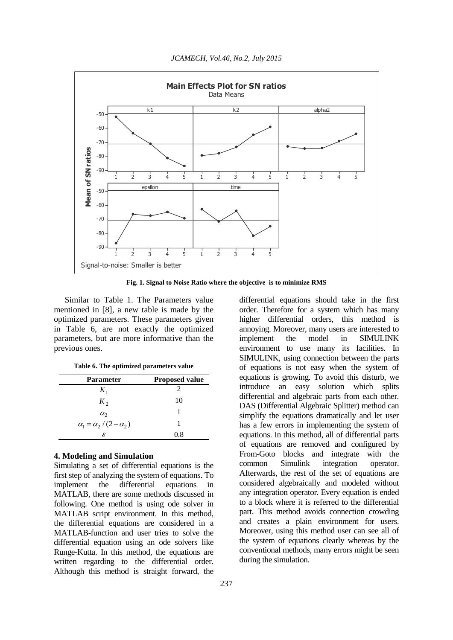

*JCAMECH, Vol.46, No.2, July 2015*

**Fig. 1. Signal to Noise Ratio where the objective is to minimize RMS**

<span id="page-4-0"></span>Similar to Table 1. [The Parameters value](#page-2-0)  [mentioned in \[8\],](#page-2-0) a new table is made by the optimized parameters. These parameters given in [Table 6,](#page-4-1) are not exactly the optimized parameters, but are more informative than the previous ones.

|  | Table 6. The optimized parameters value |  |  |
|--|-----------------------------------------|--|--|
|--|-----------------------------------------|--|--|

<span id="page-4-1"></span>

| <b>Parameter</b>                   | <b>Proposed value</b> |
|------------------------------------|-----------------------|
| $K_1$                              | 2                     |
| $K_2$                              | 10                    |
| $\alpha_{2}$                       |                       |
| $\alpha_1 = \alpha_2/(2-\alpha_2)$ | 1                     |
| £                                  | 0.8                   |

### **4. Modeling and Simulation**

Simulating a set of differential equations is the first step of analyzing the system of equations. To implement the differential equations in MATLAB, there are some methods discussed in following. One method is using ode solver in MATLAB script environment. In this method, the differential equations are considered in a MATLAB-function and user tries to solve the differential equation using an ode solvers like Runge-Kutta. In this method, the equations are written regarding to the differential order. Although this method is straight forward, the

differential equations should take in the first order. Therefore for a system which has many higher differential orders, this method is annoying. Moreover, many users are interested to implement the model in SIMULINK environment to use many its facilities. In SIMULINK, using connection between the parts of equations is not easy when the system of equations is growing. To avoid this disturb, we introduce an easy solution which splits differential and algebraic parts from each other. DAS (Differential Algebraic Splitter) method can simplify the equations dramatically and let user has a few errors in implementing the system of equations. In this method, all of differential parts of equations are removed and configured by From-Goto blocks and integrate with the common Simulink integration operator. Afterwards, the rest of the set of equations are considered algebraically and modeled without any integration operator. Every equation is ended to a block where it is referred to the differential part. This method avoids connection crowding and creates a plain environment for users. Moreover, using this method user can see all of the system of equations clearly whereas by the conventional methods, many errors might be seen during the simulation.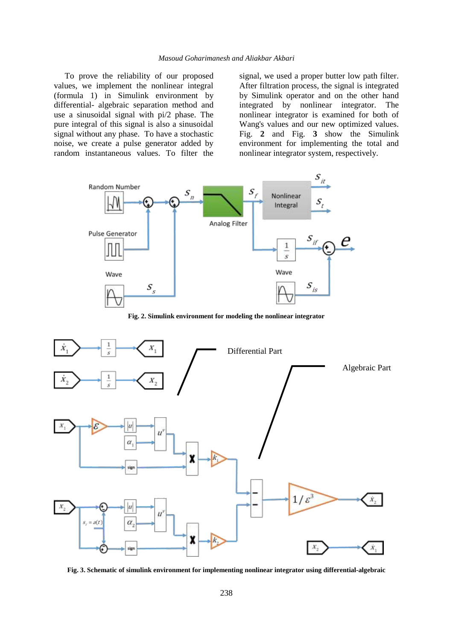To prove the reliability of our proposed values, we implement the nonlinear integral (formula 1) in Simulink environment by differential- algebraic separation method and use a sinusoidal signal with pi/2 phase. The pure integral of this signal is also a sinusoidal signal without any phase. To have a stochastic noise, we create a pulse generator added by random instantaneous values. To filter the signal, we used a proper butter low path filter. After filtration process, the signal is integrated by Simulink operator and on the other hand integrated by nonlinear integrator. The nonlinear integrator is examined for both of Wang's values and our new optimized values. [Fig.](#page-5-0) **2** and [Fig.](#page-5-1) **3** show the Simulink environment for implementing the total and nonlinear integrator system, respectively.



**Fig. 2. Simulink environment for modeling the nonlinear integrator**

<span id="page-5-0"></span>

<span id="page-5-1"></span>**Fig. 3. Schematic of simulink environment for implementing nonlinear integrator using differential-algebraic**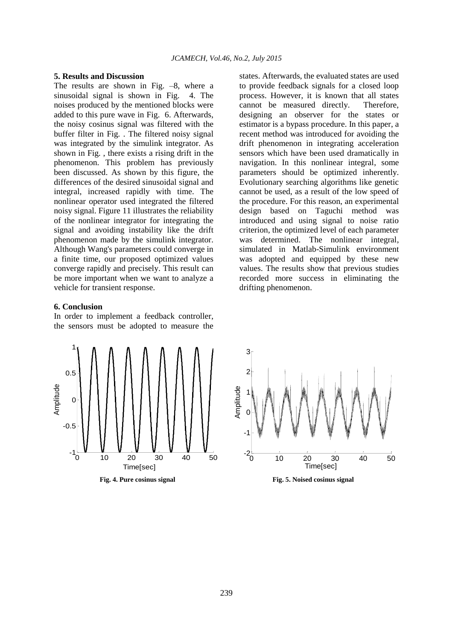#### **5. Results and Discussion**

The results are shown in [Fig.](#page-6-0) –8, where a sinusoidal signal is shown in [Fig.](#page-6-0) 4. The noises produced by the mentioned blocks were added to this pure wave in [Fig.](#page-6-1) 6. Afterwards, the noisy cosinus signal was filtered with the buffer filter in [Fig.](#page-7-6) . The filtered noisy signal was integrated by the simulink integrator. As shown in [Fig.](#page-7-7) , there exists a rising drift in the phenomenon. This problem has previously been discussed. As shown by this figure, the differences of the desired sinusoidal signal and integral, increased rapidly with time. The nonlinear operator used integrated the filtered noisy signal. Figure 11 illustrates the reliability of the nonlinear integrator for integrating the signal and avoiding instability like the drift phenomenon made by the simulink integrator. Although Wang's parameters could converge in a finite time, our proposed optimized values converge rapidly and precisely. This result can be more important when we want to analyze a vehicle for transient response.

### **6. Conclusion**

In order to implement a feedback controller, the sensors must be adopted to measure the



<span id="page-6-0"></span>**Fig. 4. Pure cosinus signal**

states. Afterwards, the evaluated states are used to provide feedback signals for a closed loop process. However, it is known that all states cannot be measured directly. Therefore, designing an observer for the states or estimator is a bypass procedure. In this paper, a recent method was introduced for avoiding the drift phenomenon in integrating acceleration sensors which have been used dramatically in navigation. In this nonlinear integral, some parameters should be optimized inherently. Evolutionary searching algorithms like genetic cannot be used, as a result of the low speed of the procedure. For this reason, an experimental design based on Taguchi method was introduced and using signal to noise ratio criterion, the optimized level of each parameter was determined. The nonlinear integral, simulated in Matlab-Simulink environment was adopted and equipped by these new values. The results show that previous studies recorded more success in eliminating the drifting phenomenon.



<span id="page-6-1"></span>**Fig. 5. Noised cosinus signal**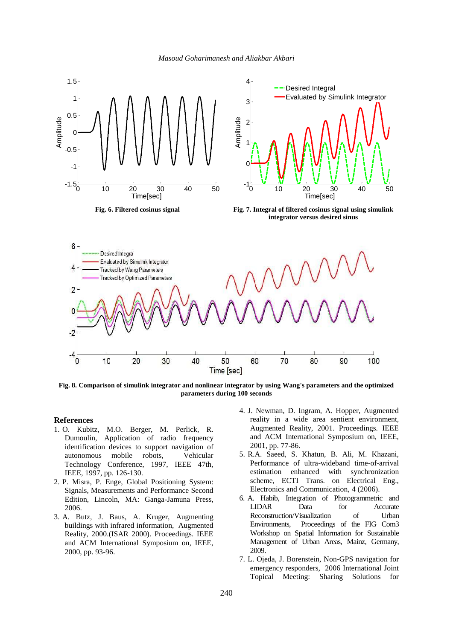<span id="page-7-7"></span>*Masoud Goharimanesh and Aliakbar Akbari*

<span id="page-7-6"></span>

**Fig. 8. Comparison of simulink integrator and nonlinear integrator by using Wang's parameters and the optimized parameters during 100 seconds**

### **References**

- <span id="page-7-0"></span>1. O. Kubitz, M.O. Berger, M. Perlick, R. Dumoulin, Application of radio frequency identification devices to support navigation of autonomous mobile robots, Vehicular Technology Conference, 1997, IEEE 47th, IEEE, 1997, pp. 126-130.
- 2. P. Misra, P. Enge, Global Positioning System: Signals, Measurements and Performance Second Edition, Lincoln, MA: Ganga-Jamuna Press, 2006.
- <span id="page-7-2"></span><span id="page-7-1"></span>3. A. Butz, J. Baus, A. Kruger, Augmenting buildings with infrared information, Augmented Reality, 2000.(ISAR 2000). Proceedings. IEEE and ACM International Symposium on, IEEE, 2000, pp. 93-96.
- 4. J. Newman, D. Ingram, A. Hopper, Augmented reality in a wide area sentient environment, Augmented Reality, 2001. Proceedings. IEEE and ACM International Symposium on, IEEE, 2001, pp. 77-86.
- <span id="page-7-3"></span>5. R.A. Saeed, S. Khatun, B. Ali, M. Khazani, Performance of ultra-wideband time-of-arrival estimation enhanced with synchronization scheme, ECTI Trans. on Electrical Eng., Electronics and Communication, 4 (2006).
- <span id="page-7-4"></span>6. A. Habib, Integration of Photogrammetric and LIDAR Data for Accurate Reconstruction/Visualization of Urban Environments, Proceedings of the FIG Com3 Workshop on Spatial Information for Sustainable Management of Urban Areas, Mainz, Germany, 2009.
- <span id="page-7-5"></span>7. L. Ojeda, J. Borenstein, Non-GPS navigation for emergency responders, 2006 International Joint Topical Meeting: Sharing Solutions for